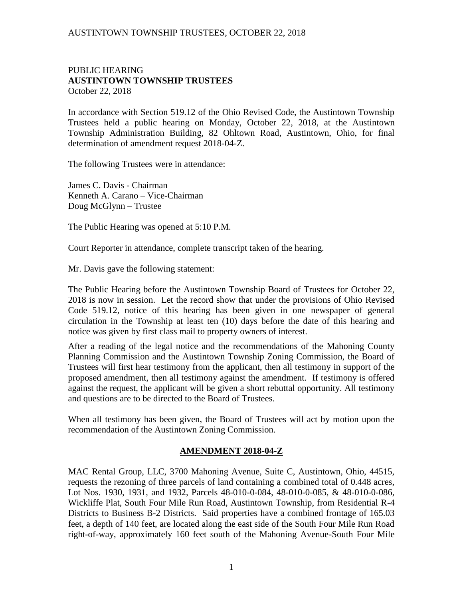## AUSTINTOWN TOWNSHIP TRUSTEES, OCTOBER 22, 2018

## PUBLIC HEARING **AUSTINTOWN TOWNSHIP TRUSTEES** October 22, 2018

In accordance with Section 519.12 of the Ohio Revised Code, the Austintown Township Trustees held a public hearing on Monday, October 22, 2018, at the Austintown Township Administration Building, 82 Ohltown Road, Austintown, Ohio, for final determination of amendment request 2018-04-Z.

The following Trustees were in attendance:

James C. Davis - Chairman Kenneth A. Carano – Vice-Chairman Doug McGlynn – Trustee

The Public Hearing was opened at 5:10 P.M.

Court Reporter in attendance, complete transcript taken of the hearing.

Mr. Davis gave the following statement:

The Public Hearing before the Austintown Township Board of Trustees for October 22, 2018 is now in session. Let the record show that under the provisions of Ohio Revised Code 519.12, notice of this hearing has been given in one newspaper of general circulation in the Township at least ten (10) days before the date of this hearing and notice was given by first class mail to property owners of interest.

After a reading of the legal notice and the recommendations of the Mahoning County Planning Commission and the Austintown Township Zoning Commission, the Board of Trustees will first hear testimony from the applicant, then all testimony in support of the proposed amendment, then all testimony against the amendment. If testimony is offered against the request, the applicant will be given a short rebuttal opportunity. All testimony and questions are to be directed to the Board of Trustees.

When all testimony has been given, the Board of Trustees will act by motion upon the recommendation of the Austintown Zoning Commission.

#### **AMENDMENT 2018-04-Z**

MAC Rental Group, LLC, 3700 Mahoning Avenue, Suite C, Austintown, Ohio, 44515, requests the rezoning of three parcels of land containing a combined total of 0.448 acres, Lot Nos. 1930, 1931, and 1932, Parcels 48-010-0-084, 48-010-0-085, & 48-010-0-086, Wickliffe Plat, South Four Mile Run Road, Austintown Township, from Residential R-4 Districts to Business B-2 Districts. Said properties have a combined frontage of 165.03 feet, a depth of 140 feet, are located along the east side of the South Four Mile Run Road right-of-way, approximately 160 feet south of the Mahoning Avenue-South Four Mile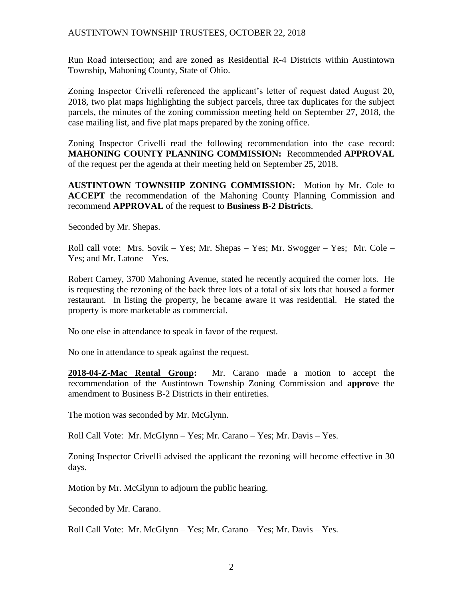## AUSTINTOWN TOWNSHIP TRUSTEES, OCTOBER 22, 2018

Run Road intersection; and are zoned as Residential R-4 Districts within Austintown Township, Mahoning County, State of Ohio.

Zoning Inspector Crivelli referenced the applicant's letter of request dated August 20, 2018, two plat maps highlighting the subject parcels, three tax duplicates for the subject parcels, the minutes of the zoning commission meeting held on September 27, 2018, the case mailing list, and five plat maps prepared by the zoning office.

Zoning Inspector Crivelli read the following recommendation into the case record: **MAHONING COUNTY PLANNING COMMISSION:** Recommended **APPROVAL** of the request per the agenda at their meeting held on September 25, 2018.

**AUSTINTOWN TOWNSHIP ZONING COMMISSION:** Motion by Mr. Cole to **ACCEPT** the recommendation of the Mahoning County Planning Commission and recommend **APPROVAL** of the request to **Business B-2 Districts**.

Seconded by Mr. Shepas.

Roll call vote: Mrs. Sovik – Yes; Mr. Shepas – Yes; Mr. Swogger – Yes; Mr. Cole – Yes; and Mr. Latone – Yes.

Robert Carney, 3700 Mahoning Avenue, stated he recently acquired the corner lots. He is requesting the rezoning of the back three lots of a total of six lots that housed a former restaurant. In listing the property, he became aware it was residential. He stated the property is more marketable as commercial.

No one else in attendance to speak in favor of the request.

No one in attendance to speak against the request.

**2018-04-Z-Mac Rental Group:** Mr. Carano made a motion to accept the recommendation of the Austintown Township Zoning Commission and **approv**e the amendment to Business B-2 Districts in their entireties.

The motion was seconded by Mr. McGlynn.

Roll Call Vote: Mr. McGlynn – Yes; Mr. Carano – Yes; Mr. Davis – Yes.

Zoning Inspector Crivelli advised the applicant the rezoning will become effective in 30 days.

Motion by Mr. McGlynn to adjourn the public hearing.

Seconded by Mr. Carano.

Roll Call Vote: Mr. McGlynn – Yes; Mr. Carano – Yes; Mr. Davis – Yes.